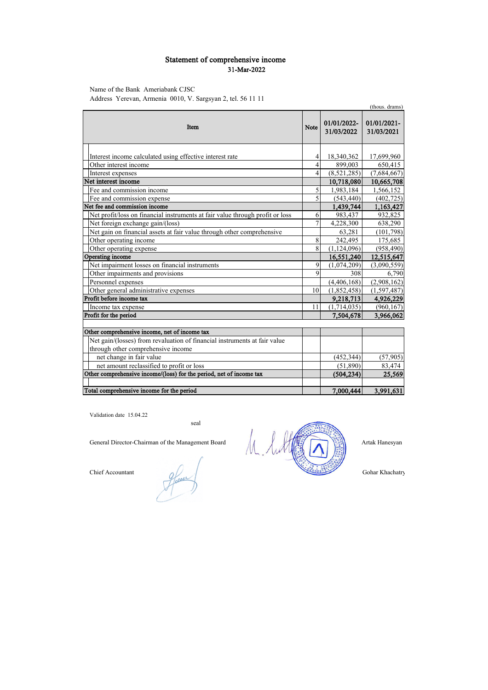### Statement of comprehensive income 31-Mar-2022

Name of the Bank Ameriabank CJSC

Address Yerevan, Armenia 0010, V. Sargsyan 2, tel. 56 11 11

|                                                                               |                |                           | (thous. drams)            |
|-------------------------------------------------------------------------------|----------------|---------------------------|---------------------------|
| Item                                                                          | <b>Note</b>    | 01/01/2022-<br>31/03/2022 | 01/01/2021-<br>31/03/2021 |
|                                                                               |                |                           |                           |
| Interest income calculated using effective interest rate                      | 4              | 18,340,362                | 17,699,960                |
| Other interest income                                                         | $\overline{4}$ | 899,003                   | 650,415                   |
| Interest expenses                                                             | 4              | (8,521,285)               | (7,684,667)               |
| Net interest income                                                           |                | 10,718,080                | 10,665,708                |
| Fee and commission income                                                     | 5              | 1,983,184                 | 1,566,152                 |
| Fee and commission expense                                                    | 5              | (543, 440)                | (402, 725)                |
| Net fee and commission income                                                 |                | 1,439,744                 | 1,163,427                 |
| Net profit/loss on financial instruments at fair value through profit or loss | 6              | 983,437                   | 932,825                   |
| Net foreign exchange gain/(loss)                                              | $\overline{7}$ | 4,228,300                 | 638,290                   |
| Net gain on financial assets at fair value through other comprehensive        |                | 63,281                    | (101, 798)                |
| Other operating income                                                        | 8              | 242,495                   | 175,685                   |
| Other operating expense                                                       | 8              | (1, 124, 096)             | (958, 490)                |
| Operating income                                                              |                | 16,551,240                | 12,515,647                |
| Net impairment losses on financial instruments                                | 9              | (1,074,209)               | (3,090,559)               |
| Other impairments and provisions                                              | 9              | 308                       | 6,790                     |
| Personnel expenses                                                            |                | (4,406,168)               | (2,908,162)               |
| Other general administrative expenses                                         | 10             | (1,852,458)               | (1, 597, 487)             |
| Profit before income tax                                                      |                | 9,218,713                 | 4,926,229                 |
| Income tax expense                                                            | 11             | (1,714,035)               | (960, 167)                |
| Profit for the period                                                         |                | 7,504,678                 | 3,966,062                 |
|                                                                               |                |                           |                           |
| Other comprehensive income, net of income tax                                 |                |                           |                           |
| Net gain/(losses) from revaluation of financial instruments at fair value     |                |                           |                           |
| through other comprehensive income                                            |                |                           |                           |
| net change in fair value                                                      |                | (452, 344)                | (57,905)                  |
| net amount reclassified to profit or loss                                     |                | (51,890)                  | 83,474                    |
| Other comprehensive income/(loss) for the period, net of income tax           |                | (504, 234)                | 25,569                    |
|                                                                               |                |                           |                           |
| Total comprehensive income for the period                                     |                | 7.000,444                 | 3,991,631                 |

Validation date 15.04.22

seal

Chief Accountant

fices



Gohar Khachatry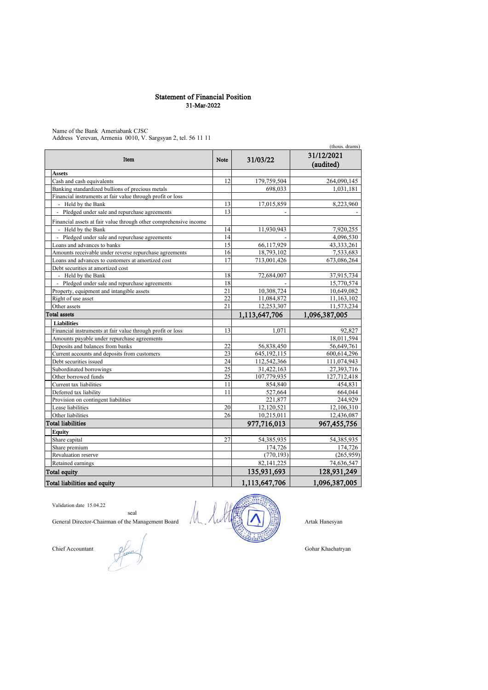#### Statement of Financial Position 31-Mar-2022

Name of the Bank Ameriabank CJSC Address Yerevan, Armenia 0010, V. Sargsyan 2, tel. 56 11 11

|                                                                   | (thous. drams) |               |                         |
|-------------------------------------------------------------------|----------------|---------------|-------------------------|
| Item                                                              | <b>Note</b>    | 31/03/22      | 31/12/2021<br>(audited) |
| <b>Assets</b>                                                     |                |               |                         |
| Cash and cash equivalents                                         | 12             | 179,759,504   | 264,090,145             |
| Banking standardized bullions of precious metals                  |                | 698,033       | 1,031,181               |
| Financial instruments at fair value through profit or loss        |                |               |                         |
| - Held by the Bank                                                | 13             | 17,015,859    | 8,223,960               |
| Pledged under sale and repurchase agreements<br>$\overline{a}$    | 13             |               |                         |
| Financial assets at fair value through other comprehensive income |                |               |                         |
| - Held by the Bank                                                | 14             | 11,930,943    | 7,920,255               |
| - Pledged under sale and repurchase agreements                    | 14             |               | 4,096,530               |
| Loans and advances to banks                                       | 15             | 66,117,929    | 43,333,261              |
| Amounts receivable under reverse repurchase agreements            | 16             | 18,793,102    | 7,533,683               |
| Loans and advances to customers at amortized cost                 | 17             | 713,001,426   | 673,086,264             |
| Debt securities at amortized cost                                 |                |               |                         |
| - Held by the Bank                                                | 18             | 72,684,007    | 37,915,734              |
| Pledged under sale and repurchase agreements<br>$\equiv$          | 18             |               | 15,770,574              |
| Property, equipment and intangible assets                         | 21             | 10,308,724    | 10,649,082              |
| Right of use asset                                                | 22             | 11,084,872    | 11,163,102              |
| Other assets                                                      | 21             | 12,253,307    | 11,573,234              |
| <b>Total assets</b>                                               |                | 1,113,647,706 | 1,096,387,005           |
| <b>Liabilities</b>                                                |                |               |                         |
| Financial instruments at fair value through profit or loss        | 13             | 1,071         | 92,827                  |
| Amounts payable under repurchase agreements                       |                |               | 18,011,594              |
| Deposits and balances from banks                                  | 22             | 56,838,450    | 56,649,761              |
| Current accounts and deposits from customers                      | 23             | 645, 192, 115 | 600,614,296             |
| Debt securities issued                                            | 24             | 112,542,366   | 111,074,943             |
| Subordinated borrowings                                           | 25             | 31,422,163    | 27,393,716              |
| Other borrowed funds                                              | 25             | 107,779,935   | 127,712,418             |
| Current tax liabilities                                           | 11             | 854,840       | 454,831                 |
| Deferred tax liability                                            | 11             | 527,664       | 664,044                 |
| Provision on contingent liabilities                               |                | 221,877       | 244,929                 |
| Lease liabilities                                                 | 20             | 12,120,521    | 12,106,310              |
| Other liabilities                                                 | 26             | 10,215,011    | 12,436,087              |
| <b>Total liabilities</b>                                          |                | 977.716.013   | 967,455,756             |
| Equity                                                            |                |               |                         |
| Share capital                                                     | 27             | 54,385,935    | 54,385,935              |
| Share premium                                                     |                | 174,726       | 174,726                 |
| Revaluation reserve                                               |                | (770, 193)    | (265,959)               |
| Retained earnings                                                 |                | 82,141,225    | 74,636,547              |
| <b>Total equity</b>                                               |                | 135,931,693   | 128,931,249             |
| Total liabilities and equity                                      |                | 1,113,647,706 | 1,096,387,005           |

Validation date 15.04.22

Chief Accountant Q

Îî seal

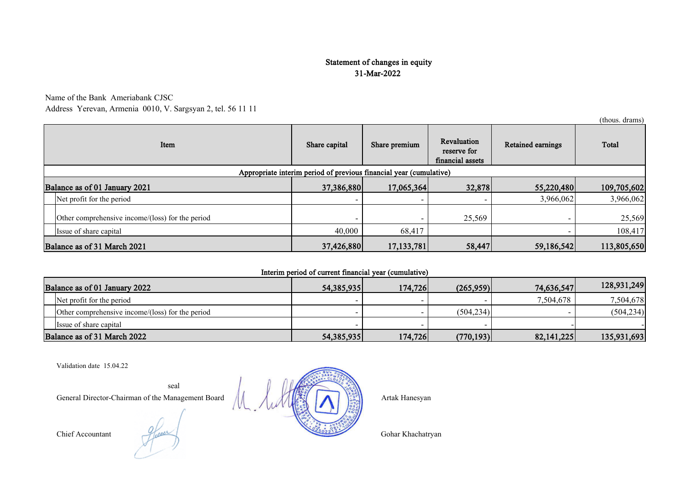# Statement of changes in equity 31-Mar-2022

Name of the Bank Ameriabank CJSC

Address Yerevan, Armenia 0010, V. Sargsyan 2, tel. 56 11 11

|                                                                    | (thous. drams)                                   |               |                                                                 |        |                          |             |
|--------------------------------------------------------------------|--------------------------------------------------|---------------|-----------------------------------------------------------------|--------|--------------------------|-------------|
| Item                                                               |                                                  | Share capital | Revaluation<br>Share premium<br>reserve for<br>financial assets |        | <b>Retained earnings</b> | Total       |
| Appropriate interim period of previous financial year (cumulative) |                                                  |               |                                                                 |        |                          |             |
|                                                                    | Balance as of 01 January 2021                    | 37,386,880    | 17,065,364                                                      | 32,878 | 55,220,480               | 109,705,602 |
|                                                                    | Net profit for the period                        |               |                                                                 |        | 3,966,062                | 3,966,062   |
|                                                                    | Other comprehensive income/(loss) for the period |               |                                                                 | 25,569 |                          | 25,569      |
|                                                                    | Issue of share capital                           | 40,000        | 68,417                                                          |        |                          | 108,417     |
| Balance as of 31 March 2021                                        |                                                  | 37,426,880    | 17,133,781                                                      | 58,447 | 59,186,542               | 113,805,650 |

## Interim period of current financial year (cumulative)

| Balance as of 01 January 2022                    | 54,385,935   | 174,726 | (265,959)  | 74,636,547   | 128,931,249 |
|--------------------------------------------------|--------------|---------|------------|--------------|-------------|
| Net profit for the period                        |              |         |            | 7.504.678    | 7,504,678   |
| Other comprehensive income/(loss) for the period |              |         | (504.234)  |              | (504, 234)  |
| Issue of share capital                           |              |         |            |              |             |
| Balance as of 31 March 2022                      | 54, 385, 935 | 174,726 | (770, 193) | 82, 141, 225 | 135,931,693 |

Validation date 15.04.22

General Director-Chairman of the Management Board Artak Hanesyan



seal



(thous. drams)